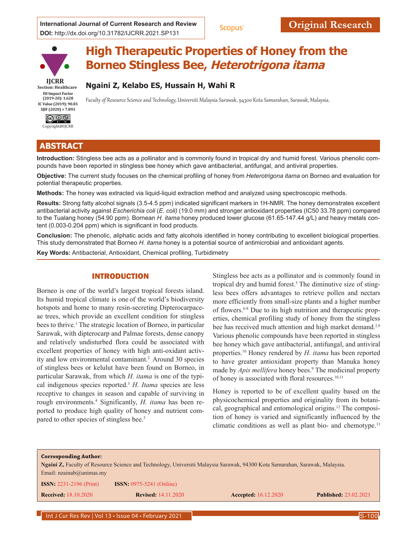**International Journal of Current Research and Review <b>Scopus Original Research DOI:** http://dx.doi.org/10.31782/IJCRR.2021.SP131



# **High Therapeutic Properties of Honey from the Borneo Stingless Bee, Heterotrigona itama**

**Section: Healthcare ISI Impact Factor (2019-20): 1.628 IC Value (2019): 90.81 SJIF (2020) = 7.893**



# **ABSTRACT**

**Introduction:** Stingless bee acts as a pollinator and is commonly found in tropical dry and humid forest. Various phenolic compounds have been reported in stingless bee honey which gave antibacterial, antifungal, and antiviral properties.

Faculty of Resource Science and Technology, Universiti Malaysia Sarawak, 94300 Kota Samarahan, Sarawak, Malaysia.

**Objective:** The current study focuses on the chemical profiling of honey from *Heterotrigona itama* on Borneo and evaluation for potential therapeutic properties.

**Methods:** The honey was extracted via liquid-liquid extraction method and analyzed using spectroscopic methods.

**Ngaini Z, Kelabo ES, Hussain H, Wahi R**

**Results:** Strong fatty alcohol signals (3.5-4.5 ppm) indicated significant markers in 1H-NMR. The honey demonstrates excellent antibacterial activity against *Escherichia coli* (*E. coli)* (19.0 mm) and stronger antioxidant properties (IC50 33.78 ppm) compared to the Tualang honey (54.90 ppm). Bornean *H. itama* honey produced lower glucose (61.65-147.44 g/L) and heavy metals content (0.003-0.204 ppm) which is significant in food products.

**Conclusion:** The phenolic, aliphatic acids and fatty alcohols identified in honey contributing to excellent biological properties. This study demonstrated that Borneo *H. itama* honey is a potential source of antimicrobial and antioxidant agents.

**Key Words:** Antibacterial, Antioxidant, Chemical profiling, Turbidimetry

# INTRODUCTION

Borneo is one of the world's largest tropical forests island. Its humid tropical climate is one of the world's biodiversity hotspots and home to many resin-secreting Dipterocarpaceae trees, which provide an excellent condition for stingless bees to thrive.<sup>1</sup> The strategic location of Borneo, in particular Sarawak, with dipterocarp and Palmae forests, dense canopy and relatively undisturbed flora could be associated with excellent properties of honey with high anti-oxidant activity and low environmental contaminant.<sup>2</sup> Around 30 species of stingless bees or kelulut have been found on Borneo, in particular Sarawak, from which *H. itama* is one of the typical indigenous species reported.3 *H. Itama* species are less receptive to changes in season and capable of surviving in rough environments.4 Significantly, *H. itama* has been reported to produce high quality of honey and nutrient compared to other species of stingless bee.<sup>3</sup>

Stingless bee acts as a pollinator and is commonly found in tropical dry and humid forest.<sup>5</sup> The diminutive size of stingless bees offers advantages to retrieve pollen and nectars more efficiently from small-size plants and a higher number of flowers.6-8 Due to its high nutrition and therapeutic properties, chemical profiling study of honey from the stingless bee has received much attention and high market demand.<sup>2,9</sup> Various phenolic compounds have been reported in stingless bee honey which gave antibacterial, antifungal, and antiviral properties.10 Honey rendered by *H. itama* has been reported to have greater antioxidant property than Manuka honey made by *Apis mellifera* honey bees.9 The medicinal property of honey is associated with floral resources.<sup>10,11</sup>

Honey is reported to be of excellent quality based on the physicochemical properties and originality from its botanical, geographical and entomological origins.12 The composition of honey is varied and significantly influenced by the climatic conditions as well as plant bio- and chemotype.<sup>13</sup>



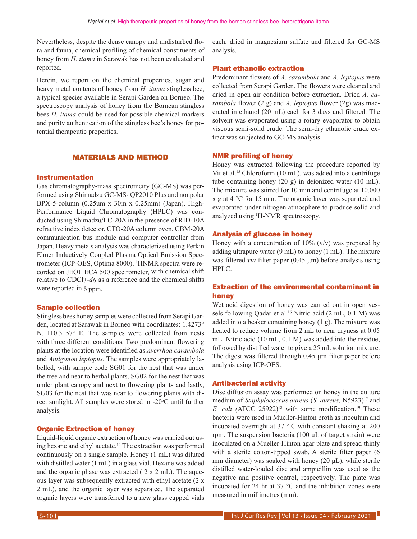Nevertheless, despite the dense canopy and undisturbed flora and fauna, chemical profiling of chemical constituents of honey from *H. itama* in Sarawak has not been evaluated and reported.

Herein, we report on the chemical properties, sugar and heavy metal contents of honey from *H. itama* stingless bee, a typical species available in Serapi Garden on Borneo. The spectroscopy analysis of honey from the Bornean stingless bees *H. itama* could be used for possible chemical markers and purity authentication of the stingless bee's honey for potential therapeutic properties.

# MATERIALS AND METHOD

#### Instrumentation

Gas chromatography-mass spectrometry (GC-MS) was performed using Shimadzu GC-MS- QP2010 Plus and nonpolar BPX-5-column (0.25um x 30m x 0.25mm) (Japan). High-Performance Liquid Chromatography (HPLC) was conducted using Shimadzu/LC-20A in the presence of RID-10A refractive index detector, CTO-20A column oven, CBM-20A communication bus module and computer controller from Japan. Heavy metals analysis was characterized using Perkin Elmer Inductively Coupled Plasma Optical Emission Spectrometer (ICP-OES, Optima 8000). <sup>1</sup>HNMR spectra were recorded on JEOL ECA 500 spectrometer, with chemical shift relative to CDCl3-*d6* as a reference and the chemical shifts were reported in  $\delta$  ppm.

#### Sample collection

Stingless bees honey samples were collected from Serapi Garden, located at Sarawak in Borneo with coordinates: 1.4273° N, 110.3157° E. The samples were collected from nests with three different conditions. Two predominant flowering plants at the location were identified as *Averrhoa carambola*  and *Antigonon leptopus*. The samples were appropriately labelled, with sample code SG01 for the nest that was under the tree and near to herbal plants, SG02 for the nest that was under plant canopy and next to flowering plants and lastly, SG03 for the nest that was near to flowering plants with direct sunlight. All samples were stored in -20°C until further analysis.

#### Organic Extraction of honey

Liquid-liquid organic extraction of honey was carried out using hexane and ethyl acetate.14 The extraction was performed continuously on a single sample. Honey (1 mL) was diluted with distilled water (1 mL) in a glass vial. Hexane was added and the organic phase was extracted ( 2 x 2 mL). The aqueous layer was subsequently extracted with ethyl acetate (2 x 2 mL), and the organic layer was separated. The separated organic layers were transferred to a new glass capped vials each, dried in magnesium sulfate and filtered for GC-MS analysis.

#### Plant ethanolic extraction

Predominant flowers of *A. carambola* and *A. leptopus* were collected from Serapi Garden. The flowers were cleaned and dried in open air condition before extraction. Dried *A. carambola* flower (2 g) and *A. leptopus* flower (2g) was macerated in ethanol (20 mL) each for 3 days and filtered. The solvent was evaporated using a rotary evaporator to obtain viscous semi-solid crude. The semi-dry ethanolic crude extract was subjected to GC-MS analysis.

#### NMR profiling of honey

Honey was extracted following the procedure reported by Vit et al.<sup>15</sup> Chloroform (10 mL). was added into a centrifuge tube containing honey (20 g) in deionized water (10 mL). The mixture was stirred for 10 min and centrifuge at 10,000 x g at 4 °C for 15 min. The organic layer was separated and evaporated under nitrogen atmosphere to produce solid and analyzed using 1 H-NMR spectroscopy.

#### Analysis of glucose in honey

Honey with a concentration of  $10\%$  (v/v) was prepared by adding ultrapure water  $(9 \text{ mL})$  to honey  $(1 \text{ mL})$ . The mixture was filtered *via* filter paper (0.45 μm) before analysis using HPLC.

# Extraction of the environmental contaminant in honey

Wet acid digestion of honey was carried out in open vessels following Qadar et al.<sup>16</sup> Nitric acid (2 mL, 0.1 M) was added into a beaker containing honey (1 g). The mixture was heated to reduce volume from 2 mL to near dryness at 0.05 mL. Nitric acid (10 mL, 0.1 M) was added into the residue, followed by distilled water to give a 25 mL solution mixture. The digest was filtered through 0.45 μm filter paper before analysis using ICP-OES.

#### Antibacterial activity

Disc diffusion assay was performed on honey in the culture medium of *Staphylococcus aureus* (*S. aureus,* N5923)17 and *E. coli (ATCC 25922)<sup>18</sup> with some modification.<sup>19</sup> These* bacteria were used in Mueller-Hinton broth as inoculum and incubated overnight at 37 ° C with constant shaking at 200 rpm. The suspension bacteria (100 μL of target strain) were inoculated on a Mueller-Hinton agar plate and spread thinly with a sterile cotton-tipped swab. A sterile filter paper (6 mm diameter) was soaked with honey (20 μL), while sterile distilled water-loaded disc and ampicillin was used as the negative and positive control, respectively. The plate was incubated for 24 hr at 37 °C and the inhibition zones were measured in millimetres (mm).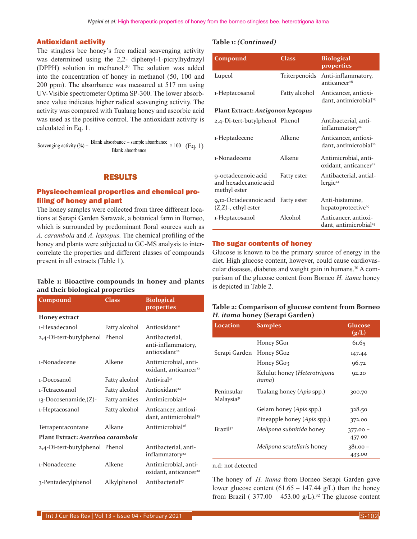#### Antioxidant activity

The stingless bee honey's free radical scavenging activity was determined using the 2,2- diphenyl-1-picrylhydrazyl (DPPH) solution in methanol.20 The solution was added into the concentration of honey in methanol (50, 100 and 200 ppm). The absorbance was measured at 517 nm using UV-Visible spectrometer Optima SP-300. The lower absorbance value indicates higher radical scavenging activity. The activity was compared with Tualang honey and ascorbic acid was used as the positive control. The antioxidant activity is calculated in Eq. 1.

Scavenging activity (%) = 
$$
\frac{\text{Blank absorbance} - \text{sample absorbance}}{\text{Blank absorbance}} \times 100 \quad \text{(Eq. 1)}
$$

# RESULTS

# Physicochemical properties and chemical profiling of honey and plant

The honey samples were collected from three different locations at Serapi Garden Sarawak, a botanical farm in Borneo, which is surrounded by predominant floral sources such as *A. carambola* and *A. leptopus.* The chemical profiling of the honey and plants were subjected to GC-MS analysis to intercorrelate the properties and different classes of compounds present in all extracts (Table 1).

#### **Table 1: Bioactive compounds in honey and plants and their biological properties**

| Compound                          | Class         | <b>Biological</b><br>properties                                   |  |  |  |  |  |
|-----------------------------------|---------------|-------------------------------------------------------------------|--|--|--|--|--|
| Honey extract                     |               |                                                                   |  |  |  |  |  |
| 1-Hexadecanol                     | Fatty alcohol | Antioxidant <sup>21</sup>                                         |  |  |  |  |  |
| 2,4-Di-tert-butylphenol Phenol    |               | Antibacterial,<br>anti-inflammatory,<br>antioxidant <sup>22</sup> |  |  |  |  |  |
| 1-Nonadecene                      | Alkene        | Antimicrobial, anti-<br>oxidant, anticancer <sup>22</sup>         |  |  |  |  |  |
| 1-Docosanol                       | Fatty alcohol | Antiviral <sup>23</sup>                                           |  |  |  |  |  |
| 1-Tetracosanol                    | Fatty alcohol | Antioxidant <sup>22</sup>                                         |  |  |  |  |  |
| 13-Docosenamide,(Z)-              | Fatty amides  | Antimicrobial <sup>24</sup>                                       |  |  |  |  |  |
| 1-Heptacosanol                    | Fatty alcohol | Anticancer, antioxi-<br>dant, antimicrobial <sup>25</sup>         |  |  |  |  |  |
| Tetrapentacontane                 | Alkane        | Antimicrobial <sup>26</sup>                                       |  |  |  |  |  |
| Plant Extract: Averrhog carambola |               |                                                                   |  |  |  |  |  |
| 2,4-Di-tert-butylphenol Phenol    |               | Antibacterial, anti-<br>inflammatory <sup>22</sup>                |  |  |  |  |  |
| 1-Nonadecene                      | Alkene        | Antimicrobial, anti-<br>oxidant, anticancer <sup>22</sup>         |  |  |  |  |  |
| 3-Pentadecylphenol                | Alkylphenol   | Antibacterial <sup>27</sup>                                       |  |  |  |  |  |

#### **Table 1:** *(Continued)*

| Compound                                                     | <b>Class</b>  | <b>Biological</b><br>properties                           |  |  |  |  |  |
|--------------------------------------------------------------|---------------|-----------------------------------------------------------|--|--|--|--|--|
| Lupeol                                                       | Triterpenoids | Anti-inflammatory,<br>anticancer <sup>28</sup>            |  |  |  |  |  |
| 1-Heptacosanol                                               | Fatty alcohol | Anticancer, antioxi-<br>dant, antimicrobial <sup>25</sup> |  |  |  |  |  |
| Plant Extract: Antigonon leptopus                            |               |                                                           |  |  |  |  |  |
| 2,4-Di-tert-butylphenol Phenol                               |               | Antibacterial, anti-<br>inflammatory <sup>22</sup>        |  |  |  |  |  |
| 1-Heptadecene                                                | Alkene        | Anticancer, antioxi-<br>dant, antimicrobial <sup>22</sup> |  |  |  |  |  |
| 1-Nonadecene                                                 | Alkene        | Antimicrobial, anti-<br>oxidant, anticancer <sup>22</sup> |  |  |  |  |  |
| 9-octadecenoic acid<br>and hexadecanoic acid<br>methyl ester | Fatty ester   | Antibacterial, antial-<br>lergic <sup>24</sup>            |  |  |  |  |  |
| 9,12-Octadecanoic acid<br>(Z,Z)-, ethyl ester                | Fatty ester   | Anti-histamine,<br>hepatoprotective <sup>29</sup>         |  |  |  |  |  |
| 1-Heptacosanol                                               | Alcohol       | Anticancer, antioxi-<br>dant, antimicrobial <sup>25</sup> |  |  |  |  |  |

# The sugar contents of honey

Glucose is known to be the primary source of energy in the diet. High glucose content, however, could cause cardiovascular diseases, diabetes and weight gain in humans.<sup>30</sup> A comparison of the glucose content from Borneo *H. itama* honey is depicted in Table 2.

# **Table 2: Comparison of glucose content from Borneo**  *H. itama* **honey (Serapi Garden)**

| Location                             | <b>Samples</b>                         | Glucose<br>(g/L)     |
|--------------------------------------|----------------------------------------|----------------------|
|                                      | Honey SG01                             | 61.65                |
| Serapi Garden                        | Honey SG02                             | 147.44               |
|                                      | Honey SG03                             | 96.72                |
|                                      | Kelulut honey (Heterotrigona<br>itama) | 92.20                |
| Peninsular<br>Malaysia <sup>31</sup> | Tualang honey (Apis spp.)              | 300.70               |
|                                      | Gelam honey (Apis spp.)                | 328.50               |
|                                      | Pineapple honey (Apis spp.)            | 372.00               |
| Brazil <sup>32</sup>                 | Melipona subnitida honey               | $377.00 -$<br>457.00 |
|                                      | Melipona scutellaris honey             | $381.00 -$<br>433.00 |

#### n.d: not detected

The honey of *H. itama* from Borneo Serapi Garden gave lower glucose content  $(61.65 - 147.44 \text{ g/L})$  than the honey from Brazil (  $377.00 - 453.00$  g/L).<sup>32</sup> The glucose content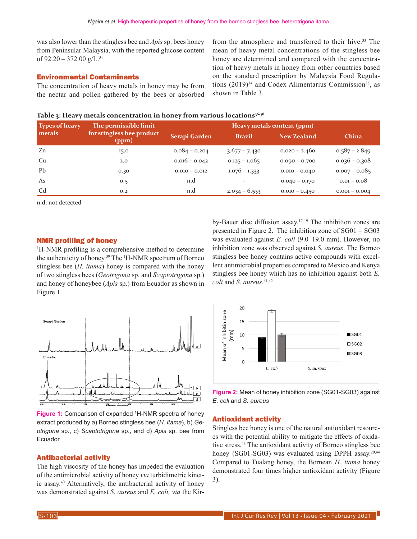was also lower than the stingless bee and *Apis* sp. bees honey from Peninsular Malaysia, with the reported glucose content of  $92.20 - 372.00$  g/L.<sup>31</sup>

#### Environmental Contaminants

The concentration of heavy metals in honey may be from the nectar and pollen gathered by the bees or absorbed from the atmosphere and transferred to their hive.<sup>33</sup> The mean of heavy metal concentrations of the stingless bee honey are determined and compared with the concentration of heavy metals in honey from other countries based on the standard prescription by Malaysia Food Regulations  $(2019)^{34}$  and Codex Alimentarius Commission<sup>35</sup>, as shown in Table 3.

#### Table 3: Heavy metals concentration in honey from various locations<sup>36-38</sup>

| <b>Types of heavy</b><br>metals | The permissible limit<br>for stingless bee product<br>(ppm) | Heavy metals content (ppm) |                 |                    |                 |
|---------------------------------|-------------------------------------------------------------|----------------------------|-----------------|--------------------|-----------------|
|                                 |                                                             | Serapi Garden              | <b>Brazil</b>   | <b>New Zealand</b> | <b>China</b>    |
| Zn                              | 15.0                                                        | $0.084 - 0.204$            | $3.677 - 7.430$ | $0.020 - 2.460$    | $0.587 - 2.849$ |
| Cu                              | 2.0                                                         | $0.016 - 0.042$            | $0.125 - 1.065$ | $0.000 - 0.700$    | $0.036 - 0.308$ |
| P <sub>b</sub>                  | 0.30                                                        | $0.010 - 0.012$            | $1.076 - 1.333$ | $0.010 - 0.040$    | $0.007 - 0.085$ |
| As                              | 0.5                                                         | n.d                        |                 | $0.040 - 0.170$    | $0.01 - 0.08$   |
| C <sub>d</sub>                  | 0.2                                                         | n.d                        | $2.034 - 6.533$ | $0.010 - 0.450$    | $0.001 - 0.004$ |

n.d: not detected

#### NMR profiling of honey

<sup>1</sup>H-NMR profiling is a comprehensive method to determine the authenticity of honey.<sup>39</sup> The <sup>1</sup>H-NMR spectrum of Borneo stingless bee (*H. itama*) honey is compared with the honey of two stingless bees (*Geotrigona* sp. and *Scaptotrigona* sp.) and honey of honeybee (*Apis* sp.) from Ecuador as shown in Figure 1.



**Figure 1:** Comparison of expanded <sup>1</sup>H-NMR spectra of honey extract produced by a) Borneo stingless bee (*H. itama*), b) *Geotrigona* sp., c) *Scaptotrigona* sp., and d) *Apis* sp. bee from Ecuador.

# Antibacterial activity

The high viscosity of the honey has impeded the evaluation of the antimicrobial activity of honey *via* turbidimetric kinetic assay.40 Alternatively, the antibacterial activity of honey was demonstrated against *S. aureus* and *E. coli, via* the Kir-



by-Bauer disc diffusion assay.17-19 The inhibition zones are presented in Figure 2. The inhibition zone of SG01 – SG03 was evaluated against *E. coli* (9.0–19.0 mm). However, no inhibition zone was observed against *S. aureus*. The Borneo stingless bee honey contains active compounds with excellent antimicrobial properties compared to Mexico and Kenya stingless bee honey which has no inhibition against both *E.* 

**Figure 2:** Mean of honey inhibition zone (SG01-SG03) against *E. coli* and *S. aureus*

#### Antioxidant activity

*coli* and *S. aureus.*41,42

Stingless bee honey is one of the natural antioxidant resources with the potential ability to mitigate the effects of oxidative stress.43 The antioxidant activity of Borneo stingless bee honey (SG01-SG03) was evaluated using DPPH assay.<sup>20,44</sup> Compared to Tualang honey, the Bornean *H. itama* honey demonstrated four times higher antioxidant activity (Figure 3).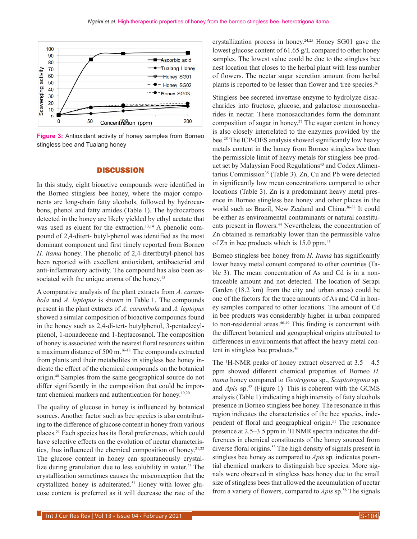

**Figure 3:** Antioxidant activity of honey samples from Borneo stingless bee and Tualang honey

#### **DISCUSSION**

In this study, eight bioactive compounds were identified in the Borneo stingless bee honey, where the major components are long-chain fatty alcohols, followed by hydrocarbons, phenol and fatty amides (Table 1). The hydrocarbons detected in the honey are likely yielded by ethyl acetate that was used as eluent for the extraction.<sup>13,14</sup> A phenolic compound of 2,4-ditert- butyl-phenol was identified as the most dominant component and first timely reported from Borneo *H. itama* honey. The phenolic of 2,4-ditertbutyl-phenol has been reported with excellent antioxidant, antibacterial and anti-inflammatory activity. The compound has also been associated with the unique aroma of the honey.<sup>15</sup>

A comparative analysis of the plant extracts from *A. carambola* and *A. leptopus* is shown in Table 1. The compounds present in the plant extracts of *A. carambola* and *A. leptopus*  showed a similar composition of bioactive compounds found in the honey such as 2,4-di-tert- butylphenol, 3-pentadecylphenol, 1-nonadecene and 1-heptacosanol. The composition of honey is associated with the nearest floral resources within a maximum distance of 500 m.16-18 The compounds extracted from plants and their metabolites in stingless bee honey indicate the effect of the chemical compounds on the botanical origin.48 Samples from the same geographical source do not differ significantly in the composition that could be important chemical markers and authentication for honey.<sup>19,20</sup>

The quality of glucose in honey is influenced by botanical sources. Another factor such as bee species is also contributing to the difference of glucose content in honey from various places.51 Each species has its floral preferences, which could have selective effects on the evolution of nectar characteristics, thus influenced the chemical composition of honey.<sup>21,22</sup> The glucose content in honey can spontaneously crystallize during granulation due to less solubility in water.<sup>23</sup> The crystallization sometimes causes the misconception that the crystallized honey is adulterated.<sup>54</sup> Honey with lower glucose content is preferred as it will decrease the rate of the crystallization process in honey.24,25 Honey SG01 gave the lowest glucose content of 61.65 g/L compared to other honey samples. The lowest value could be due to the stingless bee nest location that closes to the herbal plant with less number of flowers. The nectar sugar secretion amount from herbal plants is reported to be lesser than flower and tree species.<sup>26</sup>

Stingless bee secreted invertase enzyme to hydrolyze disaccharides into fructose, glucose, and galactose monosaccharides in nectar. These monosaccharides form the dominant composition of sugar in honey.<sup>27</sup> The sugar content in honey is also closely interrelated to the enzymes provided by the bee.28 The ICP-OES analysis showed significantly low heavy metals content in the honey from Borneo stingless bee than the permissible limit of heavy metals for stingless bee product set by Malaysian Food Regulations<sup>43</sup> and Codex Alimentarius Commission<sup>35</sup> (Table 3). Zn, Cu and Pb were detected in significantly low mean concentrations compared to other locations (Table 3). Zn is a predominant heavy metal presence in Borneo stingless bee honey and other places in the world such as Brazil, New Zealand and China.36-38 It could be either as environmental contaminants or natural constituents present in flowers.<sup>44</sup> Nevertheless, the concentration of Zn obtained is remarkably lower than the permissible value of Zn in bee products which is 15.0 ppm.45

Borneo stingless bee honey from *H. Itama* has significantly lower heavy metal content compared to other countries (Table 3). The mean concentration of As and Cd is in a nontraceable amount and not detected. The location of Serapi Garden (18.2 km) from the city and urban areas) could be one of the factors for the trace amounts of As and Cd in honey samples compared to other locations. The amount of Cd in bee products was considerably higher in urban compared to non-residential areas.<sup>46-49</sup> This finding is concurrent with the different botanical and geographical origins attributed to differences in environments that affect the heavy metal content in stingless bee products.<sup>50</sup>

The  $H-MMR$  peaks of honey extract observed at  $3.5 - 4.5$ ppm showed different chemical properties of Borneo *H. itama* honey compared to *Geotrigona* sp., *Scaptotrigona* sp. and *Apis* sp.52 (Figure 1**)** This is coherent with the GCMS analysis (Table 1) indicating a high intensity of fatty alcohols presence in Borneo stingless bee honey. The resonance in this region indicates the characteristics of the bee species, independent of floral and geographical origin.<sup>51</sup> The resonance presence at 2.5–3.5 ppm in <sup>1</sup>H NMR spectra indicates the differences in chemical constituents of the honey sourced from diverse floral origins.<sup>53</sup> The high density of signals present in stingless bee honey as compared to *Apis* sp*.* indicates potential chemical markers to distinguish bee species. More signals were observed in stingless bees honey due to the small size of stingless bees that allowed the accumulation of nectar from a variety of flowers, compared to *Apis* sp.58 The signals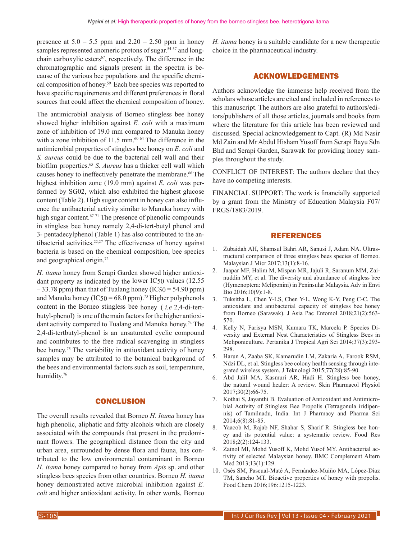presence at  $5.0 - 5.5$  ppm and  $2.20 - 2.50$  ppm in honey samples represented anomeric protons of sugar.<sup>54-57</sup> and longchain carboxylic esters<sup>67</sup>, respectively. The difference in the chromatographic and signals present in the spectra is because of the various bee populations and the specific chemical composition of honey.59 Each bee species was reported to have specific requirements and different preferences in floral sources that could affect the chemical composition of honey.

The antimicrobial analysis of Borneo stingless bee honey showed higher inhibition against *E. coli* with a maximum zone of inhibition of 19.0 mm compared to Manuka honey with a zone inhibition of  $11.5$  mm.<sup>60-64</sup> The difference in the antimicrobial properties of stingless bee honey on *E. coli* and *S. aureus* could be due to the bacterial cell wall and their biofilm properties.65 *S. Aureus* has a thicker cell wall which causes honey to ineffectively penetrate the membrane.<sup>66</sup> The highest inhibition zone (19.0 mm) against *E. coli* was performed by SG02, which also exhibited the highest glucose content (Table 2). High sugar content in honey can also influence the antibacterial activity similar to Manuka honey with high sugar content.<sup>67-71</sup> The presence of phenolic compounds in stingless bee honey namely 2,4-di-tert-butyl phenol and 3- pentadecylphenol (Table 1) has also contributed to the antibacterial activities.<sup>22,27</sup> The effectiveness of honey against bacteria is based on the chemical composition, bee species and geographical origin.72

*H. itama* honey from Serapi Garden showed higher antioxidant property as indicated by the lower IC50 values (12.55  $-33.78$  ppm) than that of Tualang honey (IC50 = 54.90 ppm) and Manuka honey ( $IC50 = 68.0$  ppm).<sup>73</sup> Higher polyphenols content in the Borneo stingless bee honey ( *i.e* 2,4-di-tertbutyl-phenol) is one of the main factors for the higher antioxidant activity compared to Tualang and Manuka honey.<sup>74</sup> The 2,4-di-tertbutyl-phenol is an unsaturated cyclic compound and contributes to the free radical scavenging in stingless bee honey.<sup>75</sup> The variability in antioxidant activity of honey samples may be attributed to the botanical background of the bees and environmental factors such as soil, temperature, humidity.<sup>76</sup>

# **CONCLUSION**

The overall results revealed that Borneo *H. Itama* honey has high phenolic, aliphatic and fatty alcohols which are closely associated with the compounds that present in the predominant flowers. The geographical distance from the city and urban area, surrounded by dense flora and fauna, has contributed to the low environmental contaminant in Borneo *H. itama* honey compared to honey from *Apis* sp. and other stingless bees species from other countries. Borneo *H. itama*  honey demonstrated active microbial inhibition against *E. coli* and higher antioxidant activity. In other words, Borneo *H. itama* honey is a suitable candidate for a new therapeutic choice in the pharmaceutical industry.

# ACKNOWLEDGEMENTS

Authors acknowledge the immense help received from the scholars whose articles are cited and included in references to this manuscript. The authors are also grateful to authors/editors/publishers of all those articles, journals and books from where the literature for this article has been reviewed and discussed. Special acknowledgement to Capt. (R) Md Nasir Md Zain and Mr Abdul Hisham Yusoff from Serapi Bayu Sdn Bhd and Serapi Garden, Sarawak for providing honey samples throughout the study.

CONFLICT OF INTEREST: The authors declare that they have no competing interests.

FINANCIAL SUPPORT: The work is financially supported by a grant from the Ministry of Education Malaysia F07/ FRGS/1883/2019.

# REFERENCES

- 1. Zubaidah AH, Shamsul Bahri AR, Sanusi J, Adam NA. Ultrastructural comparison of three stingless bees species of Borneo. Malaysian J Micr 2017;13(1):8-16.
- 2. Jaapar MF, Halim M, Mispan MR, Jajuli R, Saranum MM, Zainuddin MY, et al. The diversity and abundance of stingless bee (Hymenoptera: Meliponini) in Peninsular Malaysia. Adv in Envi Bio 2016;10(9):1-8.
- 3. Tuksitha L, Chen Y-LS, Chen Y-L, Wong K-Y, Peng C-C. The antioxidant and antibacterial capacity of stingless bee honey from Borneo (Sarawak). J Asia Pac Entomol 2018;21(2):563- 570.
- 4. Kelly N, Farisya MSN, Kumara TK, Marcela P. Species Diversity and External Nest Characteristics of Stingless Bees in Meliponiculture. Pertanika J Tropical Agri Sci 2014;37(3):293- 298.
- 5. Harun A, Zaaba SK, Kamarudin LM, Zakaria A, Farook RSM, Ndzi DL, et al. Stingless bee colony health sensing through integrated wireless system. J Teknologi 2015;77(28):85-90.
- 6. Abd Jalil MA, Kasmuri AR, Hadi H. Stingless bee honey, the natural wound healer: A review. Skin Pharmacol Physiol 2017;30(2):66-75.
- 7. Kothai S, Jayanthi B. Evaluation of Antioxidant and Antimicrobial Activity of Stingless Bee Propolis (Tetragonula iridipennis) of Tamilnadu, India. Int J Pharmacy and Pharma Sci 2014;6(8):81-85.
- 8. Yaacob M, Rajab NF, Shahar S, Sharif R. Stingless bee honey and its potential value: a systematic review. Food Res 2018;2(2):124-133.
- 9. Zainol MI, Mohd Yusoff K, Mohd Yusof MY. Antibacterial activity of selected Malaysian honey. BMC Complement Altern Med 2013;13(1):129.
- 10. Osés SM, Pascual-Maté A, Fernández-Muiño MA, López-Díaz TM, Sancho MT. Bioactive properties of honey with propolis. Food Chem 2016;196:1215-1223.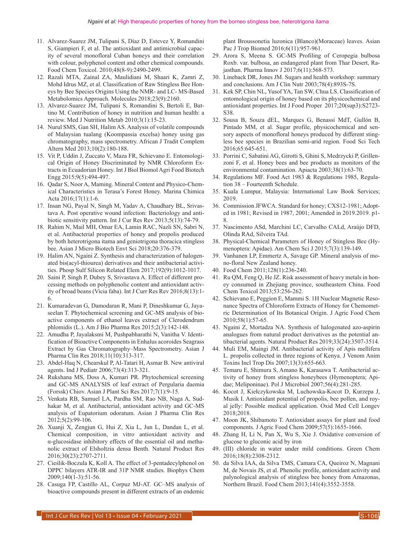- 11. Alvarez-Suarez JM, Tulipani S, Díaz D, Estevez Y, Romandini S, Giampieri F, et al. The antioxidant and antimicrobial capacity of several monofloral Cuban honeys and their correlation with colour, polyphenol content and other chemical compounds. Food Chem Toxicol. 2010;48(8-9):2490-2499.
- 12. Razali MTA, Zainal ZA, Maulidiani M, Shaari K, Zamri Z, Mohd Idrus MZ, et al. Classification of Raw Stingless Bee Honeys by Bee Species Origins Using the NMR- and LC- MS-Based Metabolomics Approach. Molecules 2018;23(9):2160.
- 13. Alvarez-Suarez JM, Tulipani S, Romandini S, Bertoli E, Battino M. Contribution of honey in nutrition and human health: a review. Med J Nutrition Metab 2010;3(1):15-23.
- 14. Nurul SMS, Gan SH, Halim AS. Analysis of volatile compounds of Malaysian tualang (Koompassia excelsa) honey using gas chromatography, mass spectrometry. African J Tradit Complem Altern Med 2013;10(2):180-188.
- 15. Vit P, Uddin J, Zuccato V, Maza FR, Schievano E. Entomological Origin of Honey Discriminated by NMR Chloroform Extracts in Ecuadorian Honey. Int J Biol Biomol Agri Food Biotech Engg 2015;9(5):494-497.
- 16. Qadar S, Noor A, Maming. Mineral Content and Physico-Chemical Characteristics in Terasa's Forest Honey. Marina Chimica Acta 2016;17(1):1-6.
- 17. Insan NG, Payal N, Singh M, Yadav A, Chaudhary BL, Srivastava A. Post operative wound infection: Bacteriology and antibiotic sensitivity pattern. Int J Cur Res Rev 2013;5(13):74-79.
- 18. Rahim N, Mail MH, Omar EA, Lamin RAC, Nazli SN, Sabri N, et al. Antibacterial properties of honey and propolis produced by both heterotrigona itama and geniotrigona thoracica stingless bee. Asian J Micro Biotech Envt Sci 2018;20:376-379.
- 19. Halim AN, Ngaini Z. Synthesis and characterization of halogenated bis(acyl-thiourea) derivatives and their antibacterial activities. Phosp Sulf Silicon Related Elem 2017;192(9):1012-1017.
- 20. Saini P, Singh P, Dubey S, Srivastava A. Effect of different processing methods on polyphenolic content and antioxidant activity of broad beans (Vicia faba). Int J Curr Res Rev 2016;8(13):1- 6.
- 21. Kumaradevan G, Damodaran R, Mani P, Dineshkumar G, Jayaseelan T. Phytochemical screening and GC-MS analysis of bioactive components of ethanol leaves extract of Clerodendrum phlomidis (L.). Am J Bio Pharma Res 2015;2(3):142-148.
- 22. Amudha P, Jayalaksmi M, Pushpabharathi N, Vanitha V. Identification of Bioactive Components in Enhalus acoroides Seagrass Extract by Gas Chromatography–Mass Spectrometry. Asian J Pharma Clin Res 2018;11(10):313-317.
- 23. Abdel-Haq N, Chearskul P, Al-Tatari H, Asmar B. New antiviral agents. Ind J Pediatr 2006;73(4):313-321.
- 24. Rukshana MS, Doss A, Kumari PR. Phytochemical screening and GC-MS ANALYSIS of leaf extract of Pergularia daemia (Forssk) Chiov. Asian J Plant Sci Res 2017;7(1):9-15.
- 25. Venkata RB, Samuel LA, Pardha SM, Rao NB, Naga A, Sudhakar M, et al. Antibacterial, antioxidant activity and GC-MS analysis of Eupatorium odoratum. Asian J Pharma Clin Res 2012;5(2):99-106.
- 26. Xuanji X, Zengjun G, Hui Z, Xia L, Jun L, Dandan L, et al. Chemical composition, in vitro antioxidant activity and α-glucosidase inhibitory effects of the essential oil and methanolic extract of Elsholtzia densa Benth. Natural Product Res 2016;30(23):2707-2711.
- 27. Cieślik-Boczula K, Koll A. The effect of 3-pentadecylphenol on DPPC bilayers ATR-IR and 31P NMR studies. Biophys Chem 2009;140(1-3):51-56.
- 28. Casuga FP, Castillo AL, Corpuz MJ-AT. GC–MS analysis of bioactive compounds present in different extracts of an endemic

plant Broussonetia luzonica (Blanco)(Moraceae) leaves. Asian Pac J Trop Biomed 2016;6(11):957-961.

- 29. Arora S, Meena S. GC-MS Profiling of Ceropegia bulbosa Roxb. var. bulbosa, an endangered plant from Thar Desert, Rajasthan. Pharma Innov J 2017;6(11):568-573.
- 30. Lineback DR, Jones JM. Sugars and health workshop: summary and conclusions. Am J Clin Nutr 2003;78(4):893S-7S.
- 31. Kek SP, Chin NL, Yusof YA, Tan SW, Chua LS. Classification of entomological origin of honey based on its physicochemical and antioxidant properties. Int J Food Proper 2017;20(sup3):S2723- S38.
- 32. Sousa B, Souza dEL, Marques G, Benassi MdT, Gullón B, Pintado MM, et al. Sugar profile, physicochemical and sensory aspects of monofloral honeys produced by different stingless bee species in Brazilian semi-arid region. Food Sci Tech 2016;65:645-651.
- 33. Porrini C, Sabatini AG, Girotti S, Ghini S, Medrzycki P, Grillenzoni F, et al. Honey bees and bee products as monitors of the environmental contamination. Apiacta 2003;38(1):63-70.
- 34. Regulations MF. Food Act 1983 & Regulations 1985, Regulation 38 – Fourteenth Schedule.
- 35. Kuala Lumpur, Malaysia: International Law Book Services; 2019.
- 36. Commission JFWCA. Standard for honey; CXS12-1981; Adopted in 1981; Revised in 1987, 2001; Amended in 2019.2019. p1- 8.
- 37. Nascimento ASd, Marchini LC, Carvalho CALd, Araújo DFD, Olinda RAd, Silveira TAd.
- 38. Physical-Chemical Parameters of Honey of Stingless Bee (Hymenoptera: Apidae). Am Chem Sci J 2015;7(3):139-149.
- 39. Vanhanen LP, Emmertz A, Savage GP. Mineral analysis of mono-floral New Zealand honey.
- 40. Food Chem 2011;128(1):236-240.
- 41. Ru QM, Feng Q, He JZ. Risk assessment of heavy metals in honey consumed in Zhejiang province, southeastern China. Food Chem Toxicol 2013;53:256-262.
- 42. Schievano E, Peggion E, Mammi S. 1H Nuclear Magnetic Resonance Spectra of Chloroform Extracts of Honey for Chemometric Determination of Its Botanical Origin. J Agric Food Chem 2010;58(1):57-65.
- 43. Ngaini Z, Mortadza NA. Synthesis of halogenated azo-aspirin analogues from natural product derivatives as the potential antibacterial agents. Natural Product Res 2019;33(24):3507-3514.
- 44. Muli EM, Maingi JM. Antibacterial activity of Apis mellifera L. propolis collected in three regions of Kenya. J Venom Anim Toxins Incl Trop Dis 2007;13(3):655-663.
- 45. Temaru E, Shimura S, Amano K, Karasawa T. Antibacterial activity of honey from stingless honeybees (Hymenoptera; Apidae; Meliponinae). Pol J Microbiol 2007;56(4):281-285.
- 46. Kocot J, Kiełczykowska M, Luchowska-Kocot D, Kurzepa J, Musik I. Antioxidant potential of propolis, bee pollen, and royal jelly: Possible medical application. Oxid Med Cell Longev 2018;2018.
- 47. Moon JK, Shibamoto T. Antioxidant assays for plant and food components. J Agric Food Chem 2009;57(5):1655-1666.
- 48. Zhang H, Li N, Pan X, Wu S, Xie J. Oxidative conversion of glucose to gluconic acid by iron
- 49. (III) chloride in water under mild conditions. Green Chem 2016;18(8):2308-2312.
- 50. da Silva IAA, da Silva TMS, Camara CA, Queiroz N, Magnani M, de Novais JS, et al. Phenolic profile, antioxidant activity and palynological analysis of stingless bee honey from Amazonas, Northern Brazil. Food Chem 2013;141(4):3552-3558.